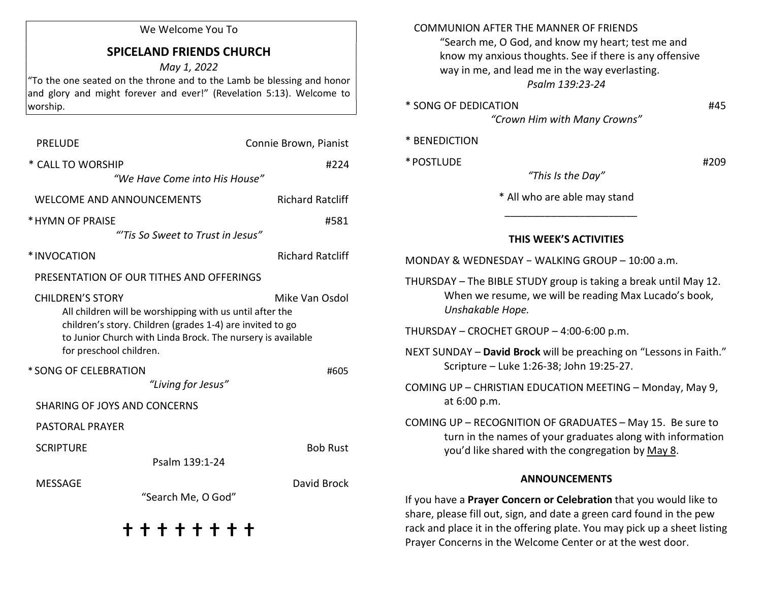#### We Welcome You To

# SPICELAND FRIENDS CHURCH

May 1, 2022

"To the one seated on the throne and to the Lamb be blessing and honor and glory and might forever and ever!" (Revelation 5:13). Welcome to worship.

| <b>PRELUDE</b>                                                                                                                                                                                                                             | Connie Brown, Pianist   |  |
|--------------------------------------------------------------------------------------------------------------------------------------------------------------------------------------------------------------------------------------------|-------------------------|--|
| * CALL TO WORSHIP                                                                                                                                                                                                                          | #224                    |  |
| "We Have Come into His House"                                                                                                                                                                                                              |                         |  |
| <b>WELCOME AND ANNOUNCEMENTS</b>                                                                                                                                                                                                           | <b>Richard Ratcliff</b> |  |
| * HYMN OF PRAISE                                                                                                                                                                                                                           | #581                    |  |
| "Tis So Sweet to Trust in Jesus"                                                                                                                                                                                                           |                         |  |
| *INVOCATION                                                                                                                                                                                                                                | <b>Richard Ratcliff</b> |  |
| PRESENTATION OF OUR TITHES AND OFFERINGS                                                                                                                                                                                                   |                         |  |
| <b>CHILDREN'S STORY</b><br>All children will be worshipping with us until after the<br>children's story. Children (grades 1-4) are invited to go<br>to Junior Church with Linda Brock. The nursery is available<br>for preschool children. | Mike Van Osdol          |  |
| * SONG OF CELEBRATION<br>"Living for Jesus"                                                                                                                                                                                                | #605                    |  |
| <b>SHARING OF JOYS AND CONCERNS</b>                                                                                                                                                                                                        |                         |  |
| <b>PASTORAL PRAYER</b>                                                                                                                                                                                                                     |                         |  |
| <b>SCRIPTURE</b>                                                                                                                                                                                                                           | <b>Bob Rust</b>         |  |
| Psalm 139:1-24                                                                                                                                                                                                                             |                         |  |
| <b>MESSAGE</b><br>"Search Me, O God"                                                                                                                                                                                                       | David Brock             |  |
| + + + + + + +                                                                                                                                                                                                                              |                         |  |

| <b>COMMUNION AFTER THE MANNER OF FRIENDS</b> |  |
|----------------------------------------------|--|
|----------------------------------------------|--|

 "Search me, O God, and know my heart; test me and know my anxious thoughts. See if there is any offensive way in me, and lead me in the way everlasting. Psalm 139:23-24

\* SONG OF DEDICATION #45

"Crown Him with Many Crowns"

#### \* BENEDICTION

 $*$  POSTLUDE  $*$   $*$  POSTLUDE

"This Is the Day"

\* All who are able may stand

### THIS WEEK'S ACTIVITIES

 $\frac{1}{2}$  ,  $\frac{1}{2}$  ,  $\frac{1}{2}$  ,  $\frac{1}{2}$  ,  $\frac{1}{2}$  ,  $\frac{1}{2}$  ,  $\frac{1}{2}$  ,  $\frac{1}{2}$  ,  $\frac{1}{2}$  ,  $\frac{1}{2}$  ,  $\frac{1}{2}$  ,  $\frac{1}{2}$  ,  $\frac{1}{2}$  ,  $\frac{1}{2}$  ,  $\frac{1}{2}$  ,  $\frac{1}{2}$  ,  $\frac{1}{2}$  ,  $\frac{1}{2}$  ,  $\frac{1$ 

THURSDAY – The BIBLE STUDY group is taking a break until May 12. When we resume, we will be reading Max Lucado's book, Unshakable Hope.

THURSDAY – CROCHET GROUP – 4:00-6:00 p.m.

NEXT SUNDAY – David Brock will be preaching on "Lessons in Faith." Scripture – Luke 1:26-38; John 19:25-27.

COMING UP – CHRISTIAN EDUCATION MEETING – Monday, May 9, at 6:00 p.m.

COMING UP – RECOGNITION OF GRADUATES – May 15. Be sure to turn in the names of your graduates along with information you'd like shared with the congregation by May 8.

#### ANNOUNCEMENTS

If you have a Prayer Concern or Celebration that you would like to share, please fill out, sign, and date a green card found in the pew rack and place it in the offering plate. You may pick up a sheet listing Prayer Concerns in the Welcome Center or at the west door.